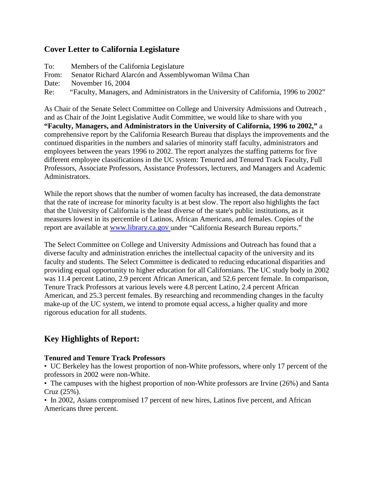## **Cover Letter to California Legislature**

| To:   | Members of the California Legislature                                                 |
|-------|---------------------------------------------------------------------------------------|
| From: | Senator Richard Alarcón and Assemblywoman Wilma Chan                                  |
| Date: | November 16, 2004                                                                     |
| Re:   | "Faculty, Managers, and Administrators in the University of California, 1996 to 2002" |

As Chair of the Senate Select Committee on College and University Admissions and Outreach , and as Chair of the Joint Legislative Audit Committee, we would like to share with you **"Faculty, Managers, and Administrators in the University of California, 1996 to 2002,"** a comprehensive report by the California Research Bureau that displays the improvements and the continued disparities in the numbers and salaries of minority staff faculty, administrators and employees between the years 1996 to 2002. The report analyzes the staffing patterns for five different employee classifications in the UC system: Tenured and Tenured Track Faculty, Full Professors, Associate Professors, Assistance Professors, lecturers, and Managers and Academic Administrators.

While the report shows that the number of women faculty has increased, the data demonstrate that the rate of increase for minority faculty is at best slow. The report also highlights the fact that the University of California is the least diverse of the state's public institutions, as it measures lowest in its percentile of Latinos, African Americans, and females. Copies of the report are available at [www.library.ca.gov u](http://liveweb.archive.org/web/20100707150418/http:/www.library.ca.gov/)nder "California Research Bureau reports."

The Select Committee on College and University Admissions and Outreach has found that a diverse faculty and administration enriches the intellectual capacity of the university and its faculty and students. The Select Committee is dedicated to reducing educational disparities and providing equal opportunity to higher education for all Californians. The UC study body in 2002 was 11.4 percent Latino, 2.9 percent African American, and 52.6 percent female. In comparison, Tenure Track Professors at various levels were 4.8 percent Latino, 2.4 percent African American, and 25.3 percent females. By researching and recommending changes in the faculty make-up of the UC system, we intend to promote equal access, a higher quality and more rigorous education for all students.

# **Key Highlights of Report:**

### **Tenured and Tenure Track Professors**

• UC Berkeley has the lowest proportion of non-White professors, where only 17 percent of the professors in 2002 were non-White.

• The campuses with the highest proportion of non-White professors are Irvine (26%) and Santa Cruz (25%).

• In 2002, Asians compromised 17 percent of new hires, Latinos five percent, and African Americans three percent.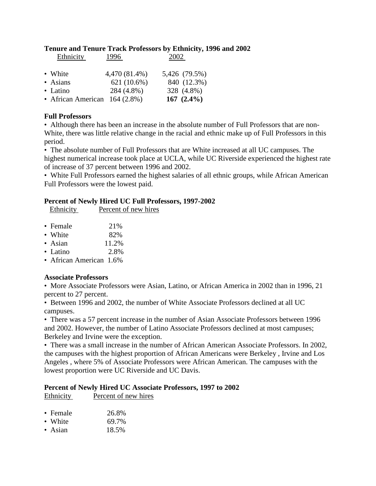#### **Tenure and Tenure Track Professors by Ethnicity, 1996 and 2002**  Ethnicity 1996 2002

| LAMINUTE                        | 1 <i>2 2</i> V | ∠∪∪∠          |
|---------------------------------|----------------|---------------|
| • White                         | 4,470 (81.4%)  | 5,426 (79.5%) |
| • Asians                        | 621 (10.6%)    | 840 (12.3%)   |
| • Latino                        | 284 (4.8%)     | 328 (4.8%)    |
| • African American $164 (2.8%)$ |                | 167 $(2.4\%)$ |

### **Full Professors**

• Although there has been an increase in the absolute number of Full Professors that are non-White, there was little relative change in the racial and ethnic make up of Full Professors in this period.

• The absolute number of Full Professors that are White increased at all UC campuses. The highest numerical increase took place at UCLA, while UC Riverside experienced the highest rate of increase of 37 percent between 1996 and 2002.

• White Full Professors earned the highest salaries of all ethnic groups, while African American Full Professors were the lowest paid.

### **Percent of Newly Hired UC Full Professors, 1997-2002**

| Ethnicity | Percent of new hires |
|-----------|----------------------|
|           |                      |

| $\bullet$ Female | 21%    |
|------------------|--------|
| • White          | 82%    |
|                  | 11.001 |

- Asian  $11.2\%$
- Latino  $2.8\%$
- African American 1.6%

### **Associate Professors**

• More Associate Professors were Asian, Latino, or African America in 2002 than in 1996, 21 percent to 27 percent.

• Between 1996 and 2002, the number of White Associate Professors declined at all UC campuses.

• There was a 57 percent increase in the number of Asian Associate Professors between 1996 and 2002. However, the number of Latino Associate Professors declined at most campuses; Berkeley and Irvine were the exception.

• There was a small increase in the number of African American Associate Professors. In 2002, the campuses with the highest proportion of African Americans were Berkeley , Irvine and Los Angeles , where 5% of Associate Professors were African American. The campuses with the lowest proportion were UC Riverside and UC Davis.

### **Percent of Newly Hired UC Associate Professors, 1997 to 2002**

Ethnicity Percent of new hires

|  | • Female | 26.8% |
|--|----------|-------|
|--|----------|-------|

- White  $69.7\%$
- Asian 18.5%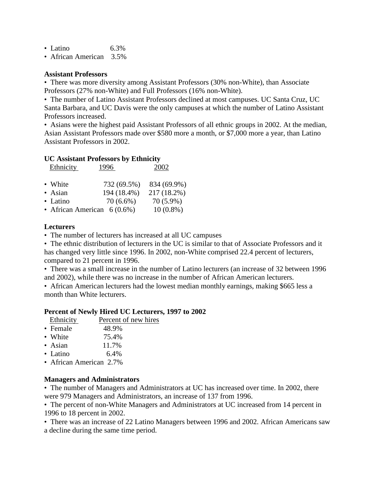- Latino 6.3%
- African American 3.5%

#### **Assistant Professors**

• There was more diversity among Assistant Professors (30% non-White), than Associate Professors (27% non-White) and Full Professors (16% non-White).

• The number of Latino Assistant Professors declined at most campuses. UC Santa Cruz, UC Santa Barbara, and UC Davis were the only campuses at which the number of Latino Assistant Professors increased.

• Asians were the highest paid Assistant Professors of all ethnic groups in 2002. At the median, Asian Assistant Professors made over \$580 more a month, or \$7,000 more a year, than Latino Assistant Professors in 2002.

#### **UC Assistant Professors by Ethnicity**

| <b>Ethnicity</b>              | 1996-       | 2002        |
|-------------------------------|-------------|-------------|
| • White                       | 732 (69.5%) | 834 (69.9%) |
| • Asian                       | 194 (18.4%) | 217 (18.2%) |
| • Latino                      | $70(6.6\%)$ | 70 (5.9%)   |
| • African American $6(0.6\%)$ |             | $10(0.8\%)$ |

#### **Lecturers**

• The number of lecturers has increased at all UC campuses

• The ethnic distribution of lecturers in the UC is similar to that of Associate Professors and it has changed very little since 1996. In 2002, non-White comprised 22.4 percent of lecturers, compared to 21 percent in 1996.

• There was a small increase in the number of Latino lecturers (an increase of 32 between 1996 and 2002), while there was no increase in the number of African American lecturers.

• African American lecturers had the lowest median monthly earnings, making \$665 less a month than White lecturers.

#### **Percent of Newly Hired UC Lecturers, 1997 to 2002**

| Ethnicity | Percent of new hires |
|-----------|----------------------|
| • Female  | 48.9%                |
| • White   | 75.4%                |

- Asian 11.7%
- Latino 6.4%
- African American 2.7%

#### **Managers and Administrators**

• The number of Managers and Administrators at UC has increased over time. In 2002, there were 979 Managers and Administrators, an increase of 137 from 1996.

• The percent of non-White Managers and Administrators at UC increased from 14 percent in 1996 to 18 percent in 2002.

• There was an increase of 22 Latino Managers between 1996 and 2002. African Americans saw a decline during the same time period.